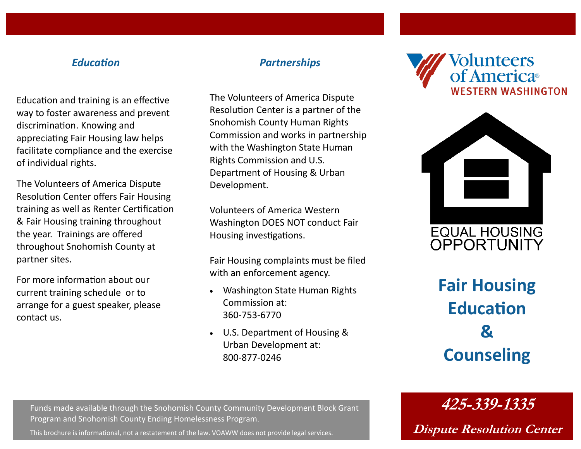#### *Education*

Education and training is an effective way to foster awareness and prevent discrimination. Knowing and appreciating Fair Housing law helps facilitate compliance and the exercise of individual rights.

The Volunteers of America Dispute Resolution Center offers Fair Housing training as well as Renter Certification & Fair Housing training throughout the year. Trainings are offered throughout Snohomish County at partner sites.

For more information about our current training schedule or to arrange for a guest speaker, please contact us.

#### *Partnerships*

The Volunteers of America Dispute Resolution Center is a partner of the Snohomish County Human Rights Commission and works in partnership with the Washington State Human Rights Commission and U.S. Department of Housing & Urban Development.

Volunteers of America Western Washington DOES NOT conduct Fair Housing investigations.

Fair Housing complaints must be filed with an enforcement agency.

- Washington State Human Rights Commission at: 360-753-6770
- U.S. Department of Housing & Urban Development at: 800-877-0246





**Fair Housing Education & Counseling**

**425-339-1335**

**Dispute Resolution Center**

Funds made available through the Snohomish County Community Development Block Grant Program and Snohomish County Ending Homelessness Program.

This brochure is informational, not a restatement of the law. VOAWW does not provide legal services.